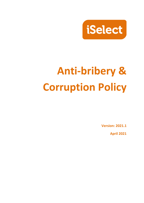

# **Anti-bribery & Corruption Policy**

**Version: 2021.1**

**April 2021**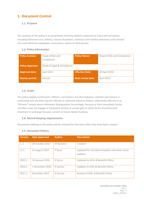# **Document Control**

#### 1.1. Purpose

The purpose of this policy is to proactively minimise iSelect's exposure to fraud and corruption, including dishonest acts, bribery, misuse of position, malicious and reckless behaviour and criminal acts committed by employees, contractors, clients or third parties.

#### **1.2. Policy Information**

| <b>Policy Contact:</b>  | Head of Risk and           | <b>Policy Owner:</b>     | Head of Risk and Compliance |
|-------------------------|----------------------------|--------------------------|-----------------------------|
|                         | Compliance                 |                          |                             |
|                         |                            |                          |                             |
| <b>Policy Approver:</b> | Head of Legal & Compliance |                          |                             |
| <b>Approval date:</b>   | April 2021                 | <b>Effective Date:</b>   | 30 April 2018               |
| <b>Review period:</b>   | Annual                     | <b>Next review date:</b> | April 2022                  |

#### **1.3. Scope**

This policy applies to Directors, Officers, contractors and all employees, whether permanent or contracted and any other person directly or indirectly linked to iSelect, collectively referred to as "Persons" except where otherwise distinguished. Accordingly, Persons or their immediate family members may not engage in fraudulent activity or accept gifts or other forms of preferential treatment in exchange for past, current or future iSelect business.

#### **1.4. Record keeping requirements**

Documents relating to this policy will be retained for five years after they have been created.

#### **1.5. Document History**

| <b>Version</b> | <b>Date Approved</b> | <b>Author</b> | <b>Description</b>                                        |
|----------------|----------------------|---------------|-----------------------------------------------------------|
| V.1            | 28 October 2013      | M Barnard     | Creation                                                  |
| V1.1           | 31 August 2015       | P Rossi       | Updated for standard template and other minor<br>updates. |
| 2015.1         | 14 January 2016      | D Syrus       | Updated to Gifts & Benefits Policy                        |
| 2016.1         | 1 December 2016      | K Harvey      | Updates to Gifts & Benefits Policy                        |
| 2017.1         | December 2017        | K Harvey      | Review of Gifts & Benefits Policy                         |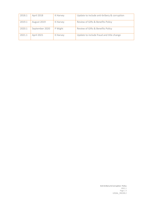| 2018.1 | April 2018     | K Harvey | Update to include anti-bribery & corruption |
|--------|----------------|----------|---------------------------------------------|
| 2019.1 | August 2019    | K Harvey | Review of Gifts & Benefits Policy           |
| 2020.1 | September 2020 | P Wight  | Review of Gifts & Benefits Policy           |
| 2021.1 | April 2021     | K Harvey | Update to include fraud and title change    |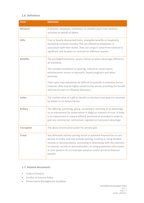#### **1.6. Definitions**

| <b>Term</b>     | <b>Definition</b>                                                                                                                                                                                                                                                                                                                                                                         |
|-----------------|-------------------------------------------------------------------------------------------------------------------------------------------------------------------------------------------------------------------------------------------------------------------------------------------------------------------------------------------------------------------------------------------|
| Person/s        | A Director, employee, contractor, or another party that conducts<br>activities on behalf of iSelect.                                                                                                                                                                                                                                                                                      |
| <b>Gifts</b>    | Free or heavily discounted items, intangible benefits or hospitality<br>exceeding common courtesy that are offered to employees in<br>association with their duties. They can range in value from nominal to<br>significant and be given or received for different reasons.                                                                                                               |
| <b>Benefits</b> | The privileged treatment, access, favour or other advantage offered to<br>an individual.                                                                                                                                                                                                                                                                                                  |
|                 | This includes invitations to sporting, cultural or social events,<br>entertainment access to discounts, loyalty programs and other<br>promises.                                                                                                                                                                                                                                           |
|                 | Their value may sometimes be difficult to quantify in monetary terms;<br>however, they may be highly valued by the person providing the benefit<br>and may be seen to influence behaviour.                                                                                                                                                                                                |
| Value           | The market value of a gift or benefit on the day it was given or received<br>by iSelect or an iSelect Person.                                                                                                                                                                                                                                                                             |
| <b>Bribery</b>  | The offering, promising, giving, accepting or soliciting of an advantage<br>as an inducement for action which is illegal or a breach of trust. A bribe<br>is an inducement or reward offered, promised or provided in order to<br>gain any commercial, contractual, regulatory or personal advantage.                                                                                     |
| Corruption      | The abuse of entrusted power for private gain.                                                                                                                                                                                                                                                                                                                                            |
| <b>Fraud</b>    | Any dishonest activity causing actual or potential financial loss to any<br>person or entity, and may include stealing, creating or using falsified<br>records or documentation, concealing or destroying, with the intention<br>to conceal, records or documentation, or using proprietary information<br>or your position for an improper purpose and/or personal financial<br>benefit. |

#### **1.7. Related documents**

- Code of Conduct
- Conflict of Interest Policy
- Performance Management Guideline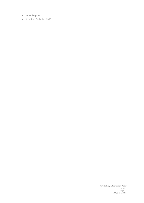- Gifts Register
- Criminal Code Act 1995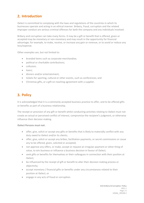# **Introduction**

iSelect is committed to complying with the laws and regulations of the countries in which its businesses operate and acting in an ethical manner. Bribery, fraud, corruption and the related improper conduct are serious criminal offences for both the company and any individuals involved.

Bribery and corruption can take many forms. It may be a gift or benefit that is offered, given or accepted may be monetary or non-monetary and may result in the opportunity for financial advantage; for example, to make, receive, or increase any gain or revenue, or to avoid or reduce any loss/expense.

Other examples are, but not limited to:

- branded items such as corporate merchandise;
- political or charitable contributions;
- collusion:
- loans;
- dinners and/or entertainment;
- tickets for sporting, cultural or other events, such as conferences; and
- Christmas gifts, or a gift on reaching agreement with a supplier.

# **3. Policy**

It is acknowledged that it is a commonly accepted business practice to offer, and to be offered gifts or benefits as part of a business relationship.

The receipt or provision of any gift or benefit whilst conducting activities relating to iSelect must not create an actual or perceived conflict of interest, compromise the recipient's judgment, or otherwise influence their decision making.

#### **iSelect Persons must not:**

- offer, give, solicit or accept any gifts or benefits that is likely to materially conflict with any duty owed to iSelect and/or its clients;
- offer, give, solicit or accept any bribes, facilitation payments, or secret commissions or cause any to be offered, given, solicited or accepted;
- not approve any offers, or make, accept or request an irregular payment or other thing of value, to win business or influence a business decision in favour of iSelect;
- seek gifts or benefits for themselves or their colleagues in connection with their position at iSelect;
- be influenced by the receipt of gift or benefit to alter their decision making process or objectivity;
- accept monetary / financial gifts or benefits under any circumstances related to their position at iSelect; or
- engage in any acts of fraud or corruption.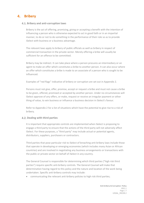# **Bribery**

#### **Bribery and anti-corruption laws**

Bribery is the act of offering, promising, giving or accepting a benefit with the intention of influencing a person who is otherwise expected to act in good faith or in an impartial manner, to do or not to do something in the performance of their role so as to provide iSelect with business or a business advantage.

The relevant laws apply to bribery of public officials as well as bribery in respect of commercial transaction in the private sector. Merely offering a bribe will usually be sufficient for an offence to be committed.

Bribery may be indirect. It can take place where a person procures an intermediary or an agent to make an offer which constitutes a bribe to another person. It can also occur where an offer which constitutes a bribe is made to an associate of a person who is sought to be influenced.

Examples of "red flags" indicative of bribery or corruption are set out in Appendix 2.

Persons must not give, offer, promise, accept or request a bribe and must not cause a bribe to be given, offered, promised or accepted by another person. Under no circumstances will iSelect approve of any offers, or make, request or receive an irregular payment or other thing of value, to win business or influence a business decision in iSelect's favour.

Refer to Appendix 2 for a list of situations which have the potential to give rise to a risk of bribery.

#### **Dealing with third parties**

It is important that appropriate controls are implemented when iSelect is proposing to engage a third party to ensure that the actions of the third party will not adversely affect iSelect. For these purposes, a "third party" may include actual or potential agents, distributors, suppliers, purchasers or contractors.

Third parties that pose particular risk to iSelect of breaching anti-bribery laws include those that operate in developing or emerging economies (which includes many Asian or African countries) and are involved in negotiating any business arrangements or transactions with the public or private sector on behalf of iSelect in any country.

The General Counsel is responsible for determining which third parties ("high risk third parties") require specific anti-bribery controls. The General Counsel will make that determination having regard to this policy and the nature and location of the work being undertaken. Specific anti-bribery controls may include:

• communicating the relevant anti-bribery policies to high risk third parties;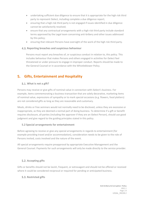- undertaking sufficient due diligence to ensure that it is appropriate for the high risk third party to represent iSelect, including complete a due diligence report;
- ensuring that a high risk third party is not engaged if issues identified in due diligence cannot be satisfactorily resolved;
- ensure that any contractual arrangements with a high risk third party include standard terms approved by the Legal team concerning anti-bribery and other issues addressed by this policy;
- ensuring that relevant Persons have oversight of the work of the high risk third party.

#### **Reporting breaches and suspicious behaviour**

Persons must report any breaches of, or suspicious conduct in relation to, this policy. This includes behaviour that makes Persons and others engaged in activities for iSelect feel threatened or under pressure to engage in improper conduct. Reports should be made to the General Counsel or in accordance with the Whistleblower Policy.

## **Gifts, Entertainment and Hospitality**

#### **What is not a gift?**

Persons may receive or give gifts of nominal value in connection with iSelect's business. For example, items commemorating a business transaction that are solely decorative, marketing items of nominal value, expressions of sympathy or to mark special occasions (e.g. flowers, food platters) are not considered gifts as long as they are reasonable and customary.

Meals, drinks or free seminars would not normally need to be disclosed, unless they are excessive or inappropriate, as they are deemed a normal part of doing business. To determine if a gift or benefit requires disclosure, all parties (including the approver if they are an iSelect Person), should use good judgment and give regard to the guiding principles stated in this policy.

#### **5.2 Special arrangements for entertainment**

Before agreeing to receive or give any special arrangements in regards to entertainment (for example providing travel and/or accommodation), consideration needs to be given to the role of Persons invited, costs involved and the nature of the event.

All special arrangements require preapproval by appropriate Executive Management and the General Counsel. Payments for such arrangements will only be made directly to the service provider.

#### **5.2. Accepting gifts**

Gifts or benefits should not be lavish, frequent, or extravagant and should not be offered or received where it could be considered reciprocal or required for pending or anticipated business.

#### **Restricted gifts**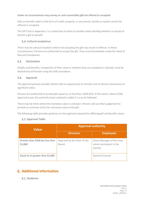#### **Under no circumstances may money or cash convertible gifts be offered or accepted.**

Gifts or benefits taken in the form of credit, property, or any service, facility or system cannot be offered or accepted.

The GIFT test in Appendix 1 is a useful test of what to consider when deciding whether to accept or decline a gift or benefit.

#### **Cultural acceptance**

There may be cultural situations where not accepting the gift may result in offence. In these circumstances, Persons are authorised to accept the gift. They must immediately notify the Head of Risk and Compliance.

#### $5.5.$ **Declaration**

All gifts and benefits, irrespective of their value or whether they are accepted or rejected, must be declared by all Persons using the Gifts procedure.

#### $5.6.$ **Approval**

The approval process provides iSelect with an opportunity to monitor and scrutinise transactions of significant value.

Persons are authorised to accept gifts equal to, or less than, \$100 AUD. If the value is above \$100, approval as per the authority levels outlined in table 5.1 is to be followed.

There may be times where the monetary value is unknown. Persons will use their judgement to provide an estimate of the fair monetary value of the gift.

The following table provides guidance on the approval required for differing gift and benefit values.

#### **5.7. Approval Table**

| <b>Value</b>                                | <b>Approval authority</b>              |                                                                      |  |
|---------------------------------------------|----------------------------------------|----------------------------------------------------------------------|--|
|                                             | <b>Directors</b>                       | <b>Employees</b>                                                     |  |
| Greater than \$100 but less than<br>\$1,000 | Approval by the Chair of the<br>Board. | Direct Manager of the most<br>senior participant in the<br>activity. |  |
| Equal to or greater than \$1,000            |                                        | General Counsel                                                      |  |

# **Additional information**

#### **Guidance**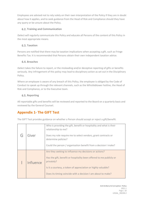Employees are advised not to rely solely on their own interpretation of the Policy if they are in doubt about how it applies, and to seek guidance from the Head of Risk and Compliance should they have any query or be unsure about the Policy.

#### **Training and Communication**

iSelect will regularly communicate this Policy and educate all Persons of the content of this Policy in the most appropriate means.

### **Taxation**

Persons are notified that there may be taxation implications when accepting a gift, such as Fringe Benefits Tax. It is recommended that Persons obtain their own independent taxation advice.

#### **Breaches**

iSelect takes the failure to report, or the misleading and/or deceptive reporting of gifts or benefits seriously. Any infringement of this policy may lead to disciplinary action as set out in the Disciplinary Policy.

Where an employee is aware of any breach of this Policy, the employee is obliged by the Code of Conduct to speak up through the relevant channels, such as the Whistleblower hotline, the Head of Risk and Compliance, or to the Executive team.

## **6.5. Reporting**

All reportable gifts and benefits will be reviewed and reported to the Board on a quarterly basis and reviewed by the General Counsel.

# **Appendix 1- The GIFT Test**

The GIFT Test provides guidance on whether a Person should accept or reject a gift/benefit.

| Giver     | Who is providing the gift, benefit or hospitality and what is their<br>relationship to me?<br>Does my role require me to select vendors, grant contracts or<br>determine policies?<br>Could the person / organisation benefit from a decision I make?                        |
|-----------|------------------------------------------------------------------------------------------------------------------------------------------------------------------------------------------------------------------------------------------------------------------------------|
| Influence | Are they seeking to influence my decisions or actions?<br>Has the gift, benefit or hospitality been offered to me publicly or<br>privately?<br>Is it a courtesy, a token of appreciation or highly valuable?<br>Does its timing coincide with a decision I am about to make? |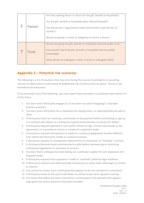| Favour       | Are they seeking favour in return for the gift, benefit or hospitality?<br>Has the gift, benefit or hospitality been offered honestly?<br>Has the person / organisation made several offers over the last 12<br>months?<br>Would accepting it create an obligation to return a favour? |
|--------------|----------------------------------------------------------------------------------------------------------------------------------------------------------------------------------------------------------------------------------------------------------------------------------------|
| <b>Trust</b> | Would accepting the gift, benefit or hospitality diminish public trust?<br>How would I feel if the gift, benefit or hospitality became public<br>knowledge?<br>What would my colleagues, family, friends or colleagues think?                                                          |

# **Appendix 2 – Potential risk scenarios**

The following is a list of situations that may arise during the course of working for or providing services to iSelect which could involve at heightened risk of bribery and corruption. The list is not intended to be exhaustive.

If you encounter any of the following, you must report them promptly in accordance with section 4.3 of this Policy.

- 1. You learn that a third party engages in, or has been accused of engaging in, improper business practices.
- 2. You learn that a third party has a reputation for paying bribes, or requiring bribes be paid to them.
- 3. A third party insists on receiving a commission or fee payment before committing to sign up to a contract with iSelect, or carrying out a government function or process for iSelect.
- 4. A third party requests payment in cash and/or refuses to sign a formal commission or fee agreement, or to provide an invoice or receipt for a payment made.
- 5. A third party requests that payment is made to a country or geographic location different from where the third party resides or conducts business.
- 6. A third party requests an unexpected additional fee or commission to "facilitate" a service.
- 7. A third party demands lavish entertainment or gifts before commencing or continuing contractual negotiations or provision of services.
- 8. You learn that a colleague has been taking out a particular supplier for very expensive and frequent meals.
- 9. A third party requests that a payment is made to "overlook" potential legal violations.
- 10. A third party requests that iSelect provide employment or some other advantage to a friend or relative.
- 11. You receive an invoice from a third party that appears to be non-standard or customised.
- 12. A third party insists on the use of side letters or refuses to put terms agreed in writing.
- 13. You notice that iSelect has been invoiced for a commission or fee payment that appears large given the service stated to have been provided.